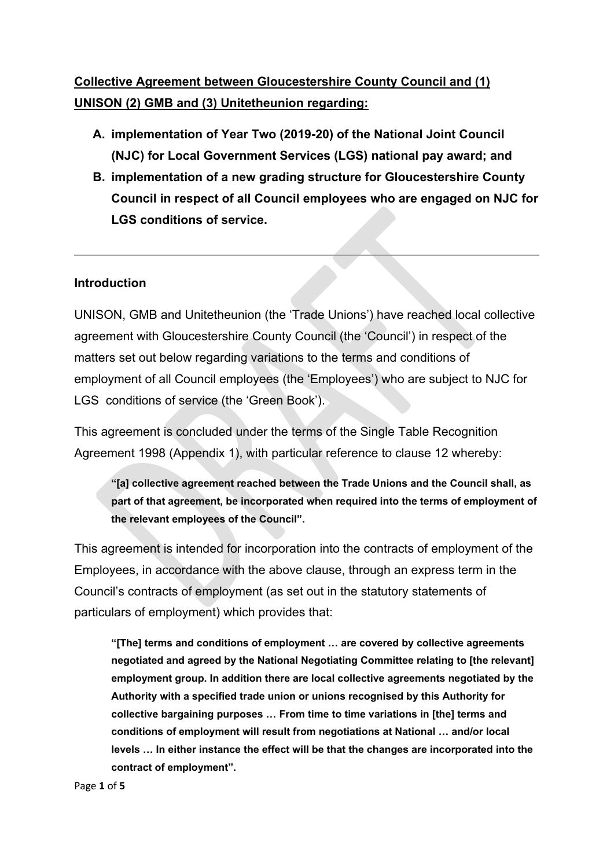### **Collective Agreement between Gloucestershire County Council and (1) UNISON (2) GMB and (3) Unitetheunion regarding:**

- **A. implementation of Year Two (2019-20) of the National Joint Council (NJC) for Local Government Services (LGS) national pay award; and**
- **B. implementation of a new grading structure for Gloucestershire County Council in respect of all Council employees who are engaged on NJC for LGS conditions of service.**

#### **Introduction**

UNISON, GMB and Unitetheunion (the 'Trade Unions') have reached local collective agreement with Gloucestershire County Council (the 'Council') in respect of the matters set out below regarding variations to the terms and conditions of employment of all Council employees (the 'Employees') who are subject to NJC for LGS conditions of service (the 'Green Book').

This agreement is concluded under the terms of the Single Table Recognition Agreement 1998 (Appendix 1), with particular reference to clause 12 whereby:

**"[a] collective agreement reached between the Trade Unions and the Council shall, as part of that agreement, be incorporated when required into the terms of employment of the relevant employees of the Council".**

This agreement is intended for incorporation into the contracts of employment of the Employees, in accordance with the above clause, through an express term in the Council's contracts of employment (as set out in the statutory statements of particulars of employment) which provides that:

**"[The] terms and conditions of employment … are covered by collective agreements negotiated and agreed by the National Negotiating Committee relating to [the relevant] employment group. In addition there are local collective agreements negotiated by the Authority with a specified trade union or unions recognised by this Authority for collective bargaining purposes … From time to time variations in [the] terms and conditions of employment will result from negotiations at National … and/or local levels … In either instance the effect will be that the changes are incorporated into the contract of employment".**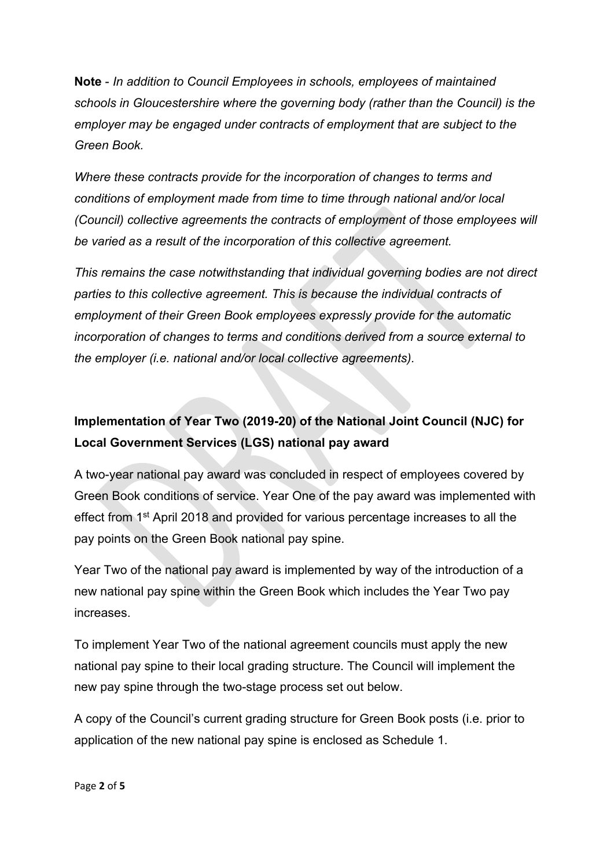**Note** - *In addition to Council Employees in schools, employees of maintained schools in Gloucestershire where the governing body (rather than the Council) is the employer may be engaged under contracts of employment that are subject to the Green Book.*

*Where these contracts provide for the incorporation of changes to terms and conditions of employment made from time to time through national and/or local (Council) collective agreements the contracts of employment of those employees will be varied as a result of the incorporation of this collective agreement.*

*This remains the case notwithstanding that individual governing bodies are not direct parties to this collective agreement. This is because the individual contracts of employment of their Green Book employees expressly provide for the automatic incorporation of changes to terms and conditions derived from a source external to the employer (i.e. national and/or local collective agreements).*

# **Implementation of Year Two (2019-20) of the National Joint Council (NJC) for Local Government Services (LGS) national pay award**

A two-year national pay award was concluded in respect of employees covered by Green Book conditions of service. Year One of the pay award was implemented with effect from 1<sup>st</sup> April 2018 and provided for various percentage increases to all the pay points on the Green Book national pay spine.

Year Two of the national pay award is implemented by way of the introduction of a new national pay spine within the Green Book which includes the Year Two pay increases.

To implement Year Two of the national agreement councils must apply the new national pay spine to their local grading structure. The Council will implement the new pay spine through the two-stage process set out below.

A copy of the Council's current grading structure for Green Book posts (i.e. prior to application of the new national pay spine is enclosed as Schedule 1.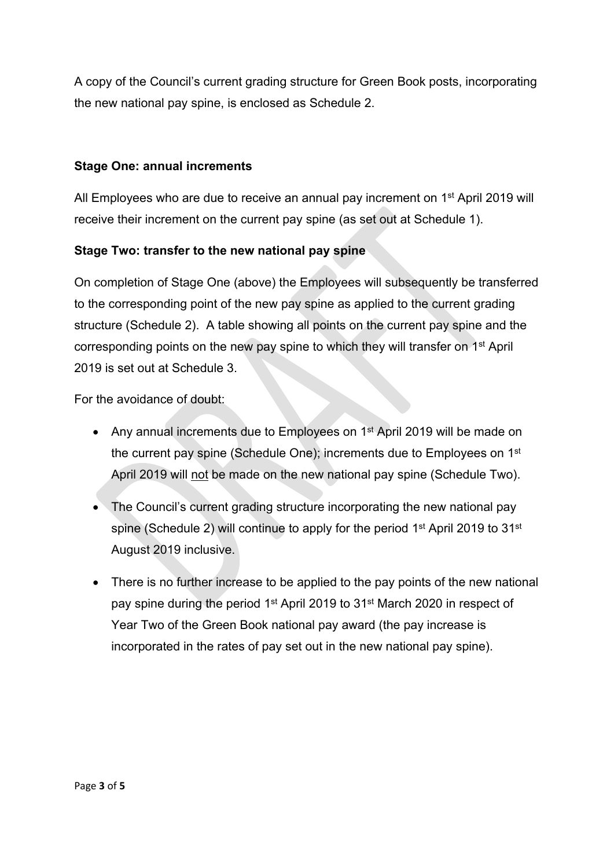A copy of the Council's current grading structure for Green Book posts, incorporating the new national pay spine, is enclosed as Schedule 2.

### **Stage One: annual increments**

All Employees who are due to receive an annual pay increment on 1<sup>st</sup> April 2019 will receive their increment on the current pay spine (as set out at Schedule 1).

### **Stage Two: transfer to the new national pay spine**

On completion of Stage One (above) the Employees will subsequently be transferred to the corresponding point of the new pay spine as applied to the current grading structure (Schedule 2). A table showing all points on the current pay spine and the corresponding points on the new pay spine to which they will transfer on 1<sup>st</sup> April 2019 is set out at Schedule 3.

For the avoidance of doubt:

- Any annual increments due to Employees on 1<sup>st</sup> April 2019 will be made on the current pay spine (Schedule One); increments due to Employees on 1<sup>st</sup> April 2019 will not be made on the new national pay spine (Schedule Two).
- The Council's current grading structure incorporating the new national pay spine (Schedule 2) will continue to apply for the period 1<sup>st</sup> April 2019 to 31<sup>st</sup> August 2019 inclusive.
- There is no further increase to be applied to the pay points of the new national pay spine during the period 1<sup>st</sup> April 2019 to 31<sup>st</sup> March 2020 in respect of Year Two of the Green Book national pay award (the pay increase is incorporated in the rates of pay set out in the new national pay spine).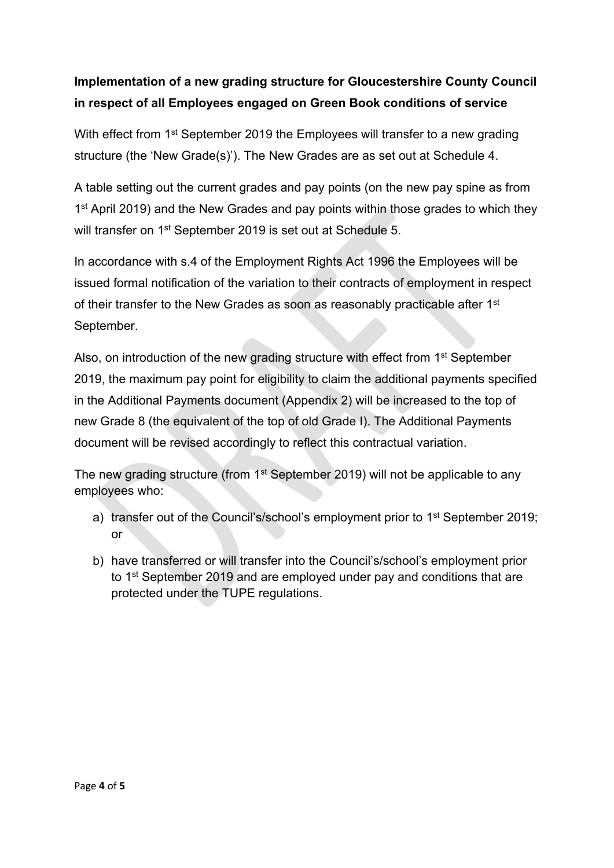## **Implementation of a new grading structure for Gloucestershire County Council in respect of all Employees engaged on Green Book conditions of service**

With effect from 1<sup>st</sup> September 2019 the Employees will transfer to a new grading structure (the 'New Grade(s)'). The New Grades are as set out at Schedule 4.

A table setting out the current grades and pay points (on the new pay spine as from 1<sup>st</sup> April 2019) and the New Grades and pay points within those grades to which they will transfer on 1<sup>st</sup> September 2019 is set out at Schedule 5.

In accordance with s.4 of the Employment Rights Act 1996 the Employees will be issued formal notification of the variation to their contracts of employment in respect of their transfer to the New Grades as soon as reasonably practicable after 1<sup>st</sup> September.

Also, on introduction of the new grading structure with effect from 1<sup>st</sup> September 2019, the maximum pay point for eligibility to claim the additional payments specified in the Additional Payments document (Appendix 2) will be increased to the top of new Grade 8 (the equivalent of the top of old Grade I). The Additional Payments document will be revised accordingly to reflect this contractual variation.

The new grading structure (from 1<sup>st</sup> September 2019) will not be applicable to any employees who:

- a) transfer out of the Council's/school's employment prior to 1<sup>st</sup> September 2019; or
- b) have transferred or will transfer into the Council's/school's employment prior to 1<sup>st</sup> September 2019 and are employed under pay and conditions that are protected under the TUPE regulations.